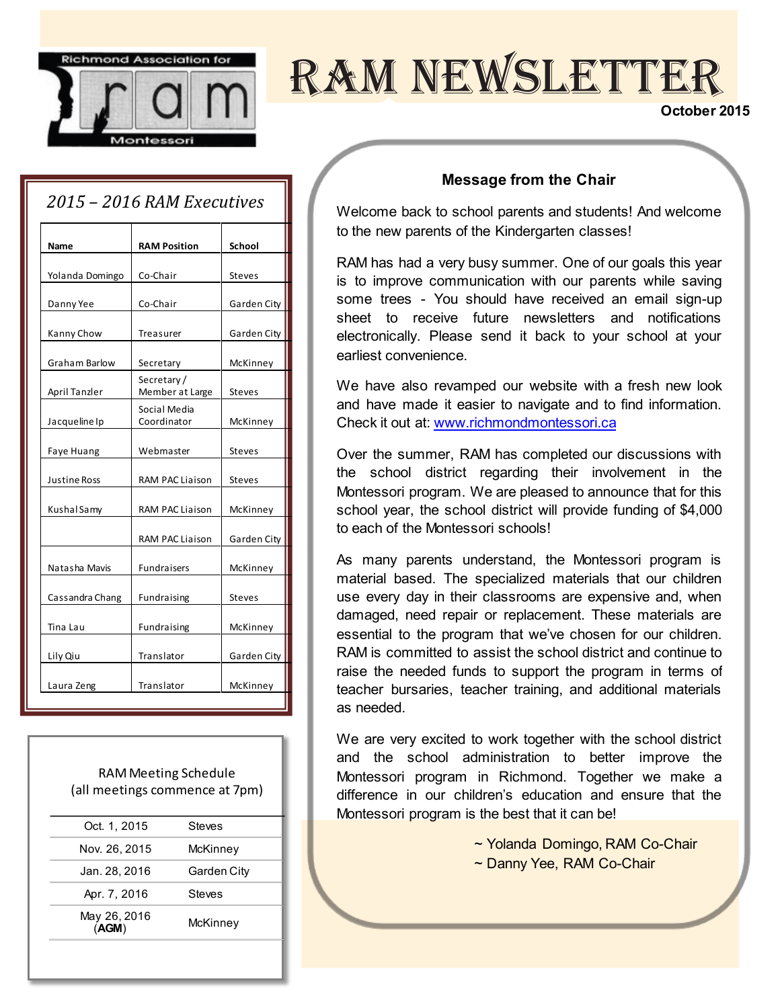

# ram newsletter

#### **October 2015**

### *2015 Ȃ 2016 RAM Executives*

| Name                | <b>RAM Position</b>           | <b>School</b> |
|---------------------|-------------------------------|---------------|
|                     |                               |               |
| Yolanda Domingo     | Co-Chair                      | <b>Steves</b> |
| Danny Yee           | Co-Chair                      | Garden City   |
| Kanny Chow          | Treasurer                     | Garden City   |
| Graham Barlow       | Secretary                     | McKinney      |
| April Tanzler       | Secretary/<br>Member at Large | <b>Steves</b> |
| Jacqueline Ip       | Social Media<br>Coordinator   | McKinney      |
| Faye Huang          | Webmaster                     | <b>Steves</b> |
| <b>Justine Ross</b> | RAM PAC Liaison               | <b>Steves</b> |
| Kushal Samy         | <b>RAM PAC Liaison</b>        | McKinney      |
|                     | <b>RAM PAC Liaison</b>        | Garden City   |
| Natasha Mavis       | <b>Fundraisers</b>            | McKinney      |
| Cassandra Chang     | Fundraising                   | <b>Steves</b> |
| Tina Lau            | Fundraising                   | McKinney      |
| Lily Qiu            | Translator                    | Garden City   |
| Laura Zeng          | Translator                    | McKinney      |
|                     |                               |               |

RAM Meeting Schedule (all meetings commence at 7pm)

| Oct. 1, 2015          | Steves      |
|-----------------------|-------------|
| Nov. 26, 2015         | McKinney    |
| Jan. 28, 2016         | Garden City |
| Apr. 7, 2016          | Steves      |
| May 26, 2016<br>(AGM) | McKinney    |
|                       |             |

#### **Message from the Chair**

Welcome back to school parents and students! And welcome to the new parents of the Kindergarten classes!

RAM has had a very busy summer. One of our goals this year is to improve communication with our parents while saving some trees - You should have received an email sign-up sheet to receive future newsletters and notifications electronically. Please send it back to your school at your earliest convenience.

We have also revamped our website with a fresh new look and have made it easier to navigate and to find information. Check it out at[: www.richmondmontessori.ca](http://www.richmondmontessori.ca/)

Over the summer, RAM has completed our discussions with the school district regarding their involvement in the Montessori program. We are pleased to announce that for this school year, the school district will provide funding of \$4,000 to each of the Montessori schools!

As many parents understand, the Montessori program is material based. The specialized materials that our children use every day in their classrooms are expensive and, when damaged, need repair or replacement. These materials are essential to the program that we've chosen for our children. RAM is committed to assist the school district and continue to raise the needed funds to support the program in terms of teacher bursaries, teacher training, and additional materials as needed.

We are very excited to work together with the school district and the school administration to better improve the Montessori program in Richmond. Together we make a difference in our children's education and ensure that the Montessori program is the best that it can be!

~ Yolanda Domingo, RAM Co-Chair

~ Danny Yee, RAM Co-Chair